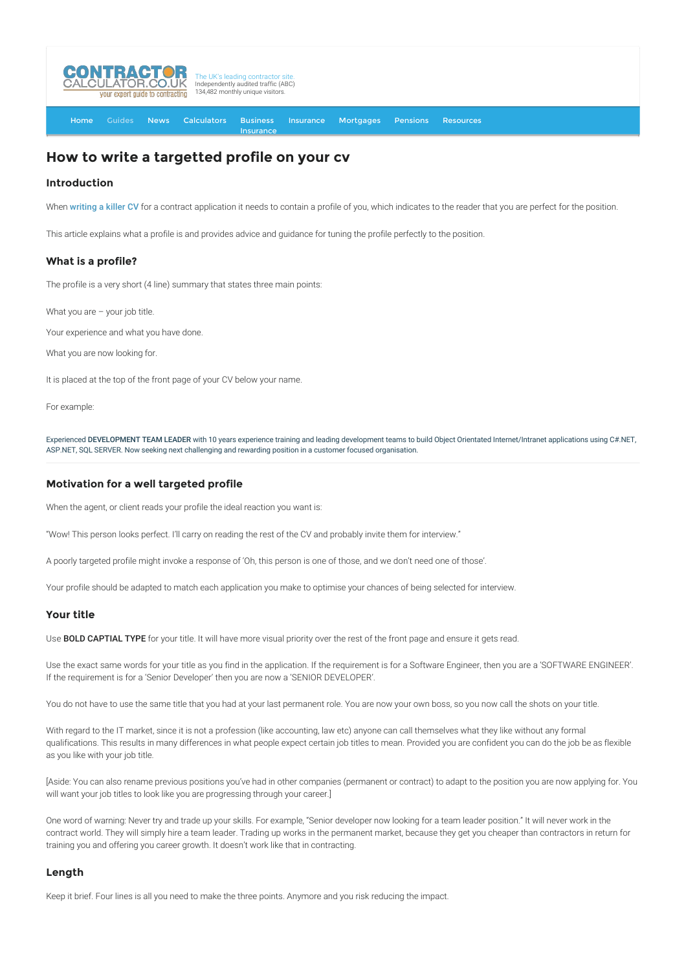

[Home](http://www.contractorcalculator.co.uk/) [Guides](http://www.contractorcalculator.co.uk/Articles.aspx) [News](http://www.contractorcalculator.co.uk/Contractor_News.aspx) [Calculators](http://www.contractorcalculator.co.uk/Calculators.aspx) Business [Insurance](http://www.contractorcalculator.co.uk/Contractor_Insurances.aspx) [Insurance](http://www.contractorcalculator.co.uk/Insurance.aspx) [Mortgages](http://www.contractorcalculator.co.uk/Contractor_Mortgages.aspx) [Pensions](http://www.contractorcalculator.co.uk/Contractor_Pensions.aspx) [Resources](http://www.contractorcalculator.co.uk/Contractor_Resources.aspx)

# **How to write a targetted profile on your cv**

## **Introduction**

When [writing a killer CV](http://www.contractorcalculator.co.uk/writing_killer_cv.aspx) for a contract application it needs to contain a profile of you, which indicates to the reader that you are perfect for the position.

This article explains what a profile is and provides advice and guidance for tuning the profile perfectly to the position.

## **What is a profile?**

The profile is a very short (4 line) summary that states three main points:

What you are - your job title.

Your experience and what you have done.

What you are now looking for.

It is placed at the top of the front page of your CV below your name.

For example:

Experienced DEVELOPMENT TEAM LEADER with 10 years experience training and leading development teams to build Object Orientated Internet/Intranet applications using C#.NET, ASP.NET, SQL SERVER. Now seeking next challenging and rewarding position in a customer focused organisation.

# **Motivation for a well targeted profile**

When the agent, or client reads your profile the ideal reaction you want is:

"Wow! This person looks perfect. I'll carry on reading the rest of the CV and probably invite them for interview."

A poorly targeted profile might invoke a response of 'Oh, this person is one of those, and we don't need one of those'.

Your profile should be adapted to match each application you make to optimise your chances of being selected for interview.

## **Your title**

Use **BOLD CAPTIAL TYPE** for your title. It will have more visual priority over the rest of the front page and ensure it gets read.

Use the exact same words for your title as you find in the application. If the requirement is for a Software Engineer, then you are a 'SOFTWARE ENGINEER'. If the requirement is for a 'Senior Developer' then you are now a 'SENIOR DEVELOPER'.

You do not have to use the same title that you had at your last permanent role. You are now your own boss, so you now call the shots on your title.

With regard to the IT market, since it is not a profession (like accounting, law etc) anyone can call themselves what they like without any formal qualifications. This results in many differences in what people expect certain job titles to mean. Provided you are confident you can do the job be as flexible as you like with your job title.

[Aside: You can also rename previous positions you've had in other companies (permanent or contract) to adapt to the position you are now applying for. You will want your job titles to look like you are progressing through your career.]

One word of warning: Never try and trade up your skills. For example, "Senior developer now looking for a team leader position." It will never work in the contract world. They will simply hire a team leader. Trading up works in the permanent market, because they get you cheaper than contractors in return for training you and offering you career growth. It doesn't work like that in contracting.

## **Length**

Keep it brief. Four lines is all you need to make the three points. Anymore and you risk reducing the impact.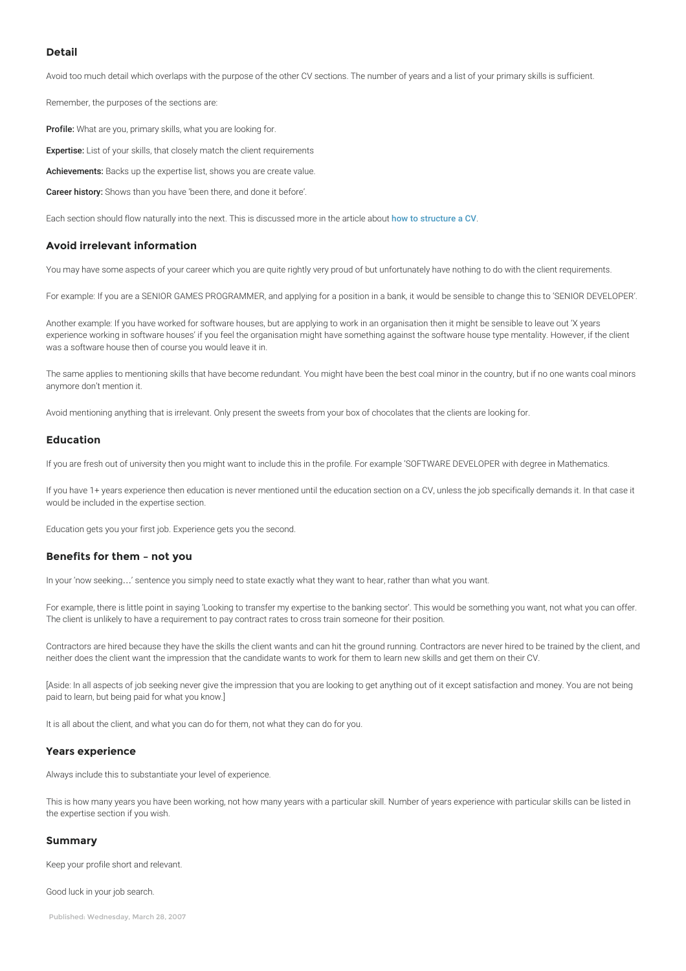## **Detail**

Avoid too much detail which overlaps with the purpose of the other CV sections. The number of years and a list of your primary skills is sufficient.

Remember, the purposes of the sections are:

Profile: What are you, primary skills, what you are looking for.

**Expertise:** List of your skills, that closely match the client requirements

Achievements: Backs up the expertise list, shows you are create value.

Career history: Shows than you have 'been there, and done it before'.

Each section should flow naturally into the next. This is discussed more in the article about [how to structure a CV](http://www.contractorcalculator.co.uk/structure_cv_high_impact.aspx).

# **Avoid irrelevant information**

You may have some aspects of your career which you are quite rightly very proud of but unfortunately have nothing to do with the client requirements.

For example: If you are a SENIOR GAMES PROGRAMMER, and applying for a position in a bank, it would be sensible to change this to 'SENIOR DEVELOPER'.

Another example: If you have worked for software houses, but are applying to work in an organisation then it might be sensible to leave out 'X years experience working in software houses' if you feel the organisation might have something against the software house type mentality. However, if the client was a software house then of course you would leave it in.

The same applies to mentioning skills that have become redundant. You might have been the best coal minor in the country, but if no one wants coal minors anymore don't mention it.

Avoid mentioning anything that is irrelevant. Only present the sweets from your box of chocolates that the clients are looking for.

#### **Education**

If you are fresh out of university then you might want to include this in the profile. For example 'SOFTWARE DEVELOPER with degree in Mathematics.

If you have 1+ years experience then education is never mentioned until the education section on a CV, unless the job specifically demands it. In that case it would be included in the expertise section.

Education gets you your first job. Experience gets you the second.

## **Benefits for them – not you**

In your 'now seeking…' sentence you simply need to state exactly what they want to hear, rather than what you want.

For example, there is little point in saying 'Looking to transfer my expertise to the banking sector'. This would be something you want, not what you can offer. The client is unlikely to have a requirement to pay contract rates to cross train someone for their position.

Contractors are hired because they have the skills the client wants and can hit the ground running. Contractors are never hired to be trained by the client, and neither does the client want the impression that the candidate wants to work for them to learn new skills and get them on their CV.

[Aside: In all aspects of job seeking never give the impression that you are looking to get anything out of it except satisfaction and money. You are not being paid to learn, but being paid for what you know.]

It is all about the client, and what you can do for them, not what they can do for you.

#### **Years experience**

Always include this to substantiate your level of experience.

This is how many years you have been working, not how many years with a particular skill. Number of years experience with particular skills can be listed in the expertise section if you wish.

#### **Summary**

Keep your profile short and relevant.

Good luck in your job search.

Published: Wednesday, March 28, 2007